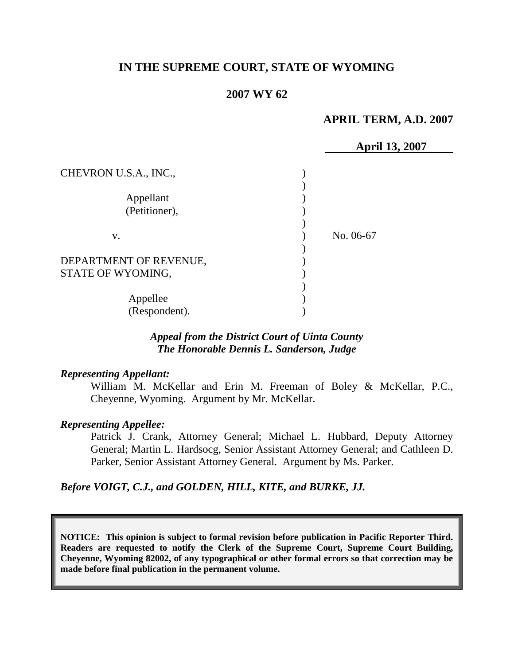# **IN THE SUPREME COURT, STATE OF WYOMING**

# **2007 WY 62**

# **APRIL TERM, A.D. 2007**

|                        |           | <b>April 13, 2007</b> |
|------------------------|-----------|-----------------------|
| CHEVRON U.S.A., INC.,  |           |                       |
|                        |           |                       |
| Appellant              |           |                       |
| (Petitioner),          |           |                       |
|                        |           |                       |
| V.                     | No. 06-67 |                       |
|                        |           |                       |
| DEPARTMENT OF REVENUE, |           |                       |
| STATE OF WYOMING,      |           |                       |
|                        |           |                       |
| Appellee               |           |                       |
| (Respondent).          |           |                       |

## *Appeal from the District Court of Uinta County The Honorable Dennis L. Sanderson, Judge*

## *Representing Appellant:*

William M. McKellar and Erin M. Freeman of Boley & McKellar, P.C., Cheyenne, Wyoming. Argument by Mr. McKellar.

## *Representing Appellee:*

Patrick J. Crank, Attorney General; Michael L. Hubbard, Deputy Attorney General; Martin L. Hardsocg, Senior Assistant Attorney General; and Cathleen D. Parker, Senior Assistant Attorney General. Argument by Ms. Parker.

## *Before VOIGT, C.J., and GOLDEN, HILL, KITE, and BURKE, JJ.*

**NOTICE: This opinion is subject to formal revision before publication in Pacific Reporter Third. Readers are requested to notify the Clerk of the Supreme Court, Supreme Court Building, Cheyenne, Wyoming 82002, of any typographical or other formal errors so that correction may be made before final publication in the permanent volume.**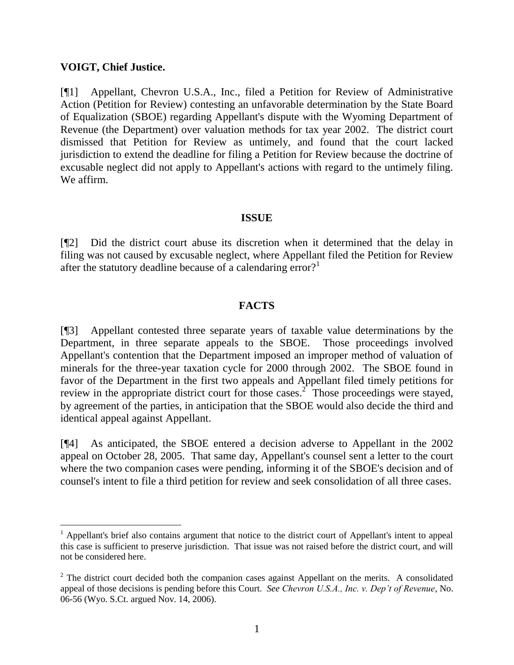## **VOIGT, Chief Justice.**

 $\overline{a}$ 

[¶1] Appellant, Chevron U.S.A., Inc., filed a Petition for Review of Administrative Action (Petition for Review) contesting an unfavorable determination by the State Board of Equalization (SBOE) regarding Appellant's dispute with the Wyoming Department of Revenue (the Department) over valuation methods for tax year 2002. The district court dismissed that Petition for Review as untimely, and found that the court lacked jurisdiction to extend the deadline for filing a Petition for Review because the doctrine of excusable neglect did not apply to Appellant's actions with regard to the untimely filing. We affirm.

## **ISSUE**

[¶2] Did the district court abuse its discretion when it determined that the delay in filing was not caused by excusable neglect, where Appellant filed the Petition for Review after the statutory deadline because of a calendaring error?<sup>1</sup>

## **FACTS**

[¶3] Appellant contested three separate years of taxable value determinations by the Department, in three separate appeals to the SBOE. Those proceedings involved Appellant's contention that the Department imposed an improper method of valuation of minerals for the three-year taxation cycle for 2000 through 2002. The SBOE found in favor of the Department in the first two appeals and Appellant filed timely petitions for review in the appropriate district court for those cases.<sup>2</sup> Those proceedings were stayed, by agreement of the parties, in anticipation that the SBOE would also decide the third and identical appeal against Appellant.

[¶4] As anticipated, the SBOE entered a decision adverse to Appellant in the 2002 appeal on October 28, 2005. That same day, Appellant's counsel sent a letter to the court where the two companion cases were pending, informing it of the SBOE's decision and of counsel's intent to file a third petition for review and seek consolidation of all three cases.

<sup>&</sup>lt;sup>1</sup> Appellant's brief also contains argument that notice to the district court of Appellant's intent to appeal this case is sufficient to preserve jurisdiction. That issue was not raised before the district court, and will not be considered here.

 $2$  The district court decided both the companion cases against Appellant on the merits. A consolidated appeal of those decisions is pending before this Court. *See Chevron U.S.A., Inc. v. Dep't of Revenue*, No. 06-56 (Wyo. S.Ct. argued Nov. 14, 2006).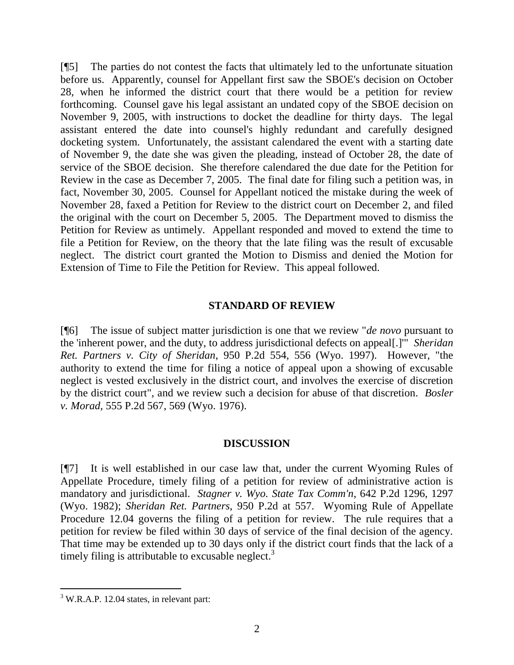[¶5] The parties do not contest the facts that ultimately led to the unfortunate situation before us. Apparently, counsel for Appellant first saw the SBOE's decision on October 28, when he informed the district court that there would be a petition for review forthcoming. Counsel gave his legal assistant an undated copy of the SBOE decision on November 9, 2005, with instructions to docket the deadline for thirty days. The legal assistant entered the date into counsel's highly redundant and carefully designed docketing system. Unfortunately, the assistant calendared the event with a starting date of November 9, the date she was given the pleading, instead of October 28, the date of service of the SBOE decision. She therefore calendared the due date for the Petition for Review in the case as December 7, 2005. The final date for filing such a petition was, in fact, November 30, 2005. Counsel for Appellant noticed the mistake during the week of November 28, faxed a Petition for Review to the district court on December 2, and filed the original with the court on December 5, 2005. The Department moved to dismiss the Petition for Review as untimely. Appellant responded and moved to extend the time to file a Petition for Review, on the theory that the late filing was the result of excusable neglect. The district court granted the Motion to Dismiss and denied the Motion for Extension of Time to File the Petition for Review. This appeal followed.

## **STANDARD OF REVIEW**

[¶6] The issue of subject matter jurisdiction is one that we review "*de novo* pursuant to the 'inherent power, and the duty, to address jurisdictional defects on appeal[.]'" *Sheridan Ret. Partners v. City of Sheridan*, 950 P.2d 554, 556 (Wyo. 1997). However, "the authority to extend the time for filing a notice of appeal upon a showing of excusable neglect is vested exclusively in the district court, and involves the exercise of discretion by the district court", and we review such a decision for abuse of that discretion. *Bosler v. Morad*, 555 P.2d 567, 569 (Wyo. 1976).

## **DISCUSSION**

[¶7] It is well established in our case law that, under the current Wyoming Rules of Appellate Procedure, timely filing of a petition for review of administrative action is mandatory and jurisdictional. *Stagner v. Wyo. State Tax Comm'n*, 642 P.2d 1296, 1297 (Wyo. 1982); *Sheridan Ret. Partners*, 950 P.2d at 557. Wyoming Rule of Appellate Procedure 12.04 governs the filing of a petition for review. The rule requires that a petition for review be filed within 30 days of service of the final decision of the agency. That time may be extended up to 30 days only if the district court finds that the lack of a timely filing is attributable to excusable neglect. $3$ 

 $\overline{a}$ 

 $3$  W.R.A.P. 12.04 states, in relevant part: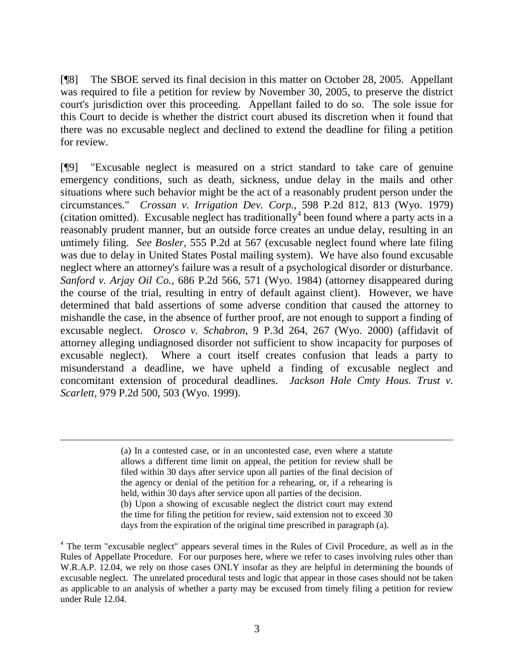[¶8] The SBOE served its final decision in this matter on October 28, 2005. Appellant was required to file a petition for review by November 30, 2005, to preserve the district court's jurisdiction over this proceeding. Appellant failed to do so. The sole issue for this Court to decide is whether the district court abused its discretion when it found that there was no excusable neglect and declined to extend the deadline for filing a petition for review.

[¶9] "Excusable neglect is measured on a strict standard to take care of genuine emergency conditions, such as death, sickness, undue delay in the mails and other situations where such behavior might be the act of a reasonably prudent person under the circumstances." *Crossan v. Irrigation Dev. Corp.*, 598 P.2d 812, 813 (Wyo. 1979) (citation omitted). Excusable neglect has traditionally<sup>4</sup> been found where a party acts in a reasonably prudent manner, but an outside force creates an undue delay, resulting in an untimely filing. *See Bosler*, 555 P.2d at 567 (excusable neglect found where late filing was due to delay in United States Postal mailing system). We have also found excusable neglect where an attorney's failure was a result of a psychological disorder or disturbance. *Sanford v. Arjay Oil Co.*, 686 P.2d 566, 571 (Wyo. 1984) (attorney disappeared during the course of the trial, resulting in entry of default against client). However, we have determined that bald assertions of some adverse condition that caused the attorney to mishandle the case, in the absence of further proof, are not enough to support a finding of excusable neglect. *Orosco v. Schabron*, 9 P.3d 264, 267 (Wyo. 2000) (affidavit of attorney alleging undiagnosed disorder not sufficient to show incapacity for purposes of excusable neglect). Where a court itself creates confusion that leads a party to misunderstand a deadline, we have upheld a finding of excusable neglect and concomitant extension of procedural deadlines. *Jackson Hole Cmty Hous. Trust v. Scarlett*, 979 P.2d 500, 503 (Wyo. 1999).

> (a) In a contested case, or in an uncontested case, even where a statute allows a different time limit on appeal, the petition for review shall be filed within 30 days after service upon all parties of the final decision of the agency or denial of the petition for a rehearing, or, if a rehearing is held, within 30 days after service upon all parties of the decision. (b) Upon a showing of excusable neglect the district court may extend the time for filing the petition for review, said extension not to exceed 30 days from the expiration of the original time prescribed in paragraph (a).

<sup>4</sup> The term "excusable neglect" appears several times in the Rules of Civil Procedure, as well as in the Rules of Appellate Procedure. For our purposes here, where we refer to cases involving rules other than W.R.A.P. 12.04, we rely on those cases ONLY insofar as they are helpful in determining the bounds of excusable neglect. The unrelated procedural tests and logic that appear in those cases should not be taken as applicable to an analysis of whether a party may be excused from timely filing a petition for review under Rule 12.04.